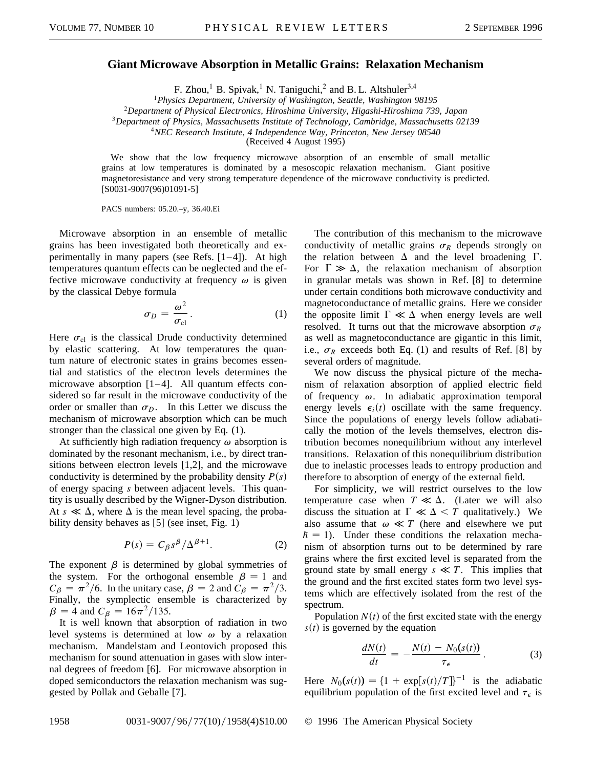## **Giant Microwave Absorption in Metallic Grains: Relaxation Mechanism**

F. Zhou,<sup>1</sup> B. Spivak,<sup>1</sup> N. Taniguchi,<sup>2</sup> and B. L. Altshuler<sup>3,4</sup>

<sup>1</sup>*Physics Department, University of Washington, Seattle, Washington 98195*

<sup>2</sup>*Department of Physical Electronics, Hiroshima University, Higashi-Hiroshima 739, Japan*

<sup>3</sup>*Department of Physics, Massachusetts Institute of Technology, Cambridge, Massachusetts 02139*

<sup>4</sup>*NEC Research Institute, 4 Independence Way, Princeton, New Jersey 08540*

(Received 4 August 1995)

We show that the low frequency microwave absorption of an ensemble of small metallic grains at low temperatures is dominated by a mesoscopic relaxation mechanism. Giant positive magnetoresistance and very strong temperature dependence of the microwave conductivity is predicted. [S0031-9007(96)01091-5]

PACS numbers: 05.20.–y, 36.40.Ei

Microwave absorption in an ensemble of metallic grains has been investigated both theoretically and experimentally in many papers (see Refs. [1–4]). At high temperatures quantum effects can be neglected and the effective microwave conductivity at frequency  $\omega$  is given by the classical Debye formula

$$
\sigma_D = \frac{\omega^2}{\sigma_{\rm cl}}.\tag{1}
$$

Here  $\sigma_{\rm cl}$  is the classical Drude conductivity determined by elastic scattering. At low temperatures the quantum nature of electronic states in grains becomes essential and statistics of the electron levels determines the microwave absorption [1–4]. All quantum effects considered so far result in the microwave conductivity of the order or smaller than  $\sigma_D$ . In this Letter we discuss the mechanism of microwave absorption which can be much stronger than the classical one given by Eq. (1).

At sufficiently high radiation frequency  $\omega$  absorption is dominated by the resonant mechanism, i.e., by direct transitions between electron levels [1,2], and the microwave conductivity is determined by the probability density  $P(s)$ of energy spacing *s* between adjacent levels. This quantity is usually described by the Wigner-Dyson distribution. At  $s \ll \Delta$ , where  $\Delta$  is the mean level spacing, the probability density behaves as [5] (see inset, Fig. 1)

$$
P(s) = C_{\beta} s^{\beta} / \Delta^{\beta+1}.
$$
 (2)

The exponent  $\beta$  is determined by global symmetries of the system. For the orthogonal ensemble  $\beta = 1$  and  $C_{\beta} = \pi^2/6$ . In the unitary case,  $\beta = 2$  and  $C_{\beta} = \pi^2/3$ . Finally, the symplectic ensemble is characterized by  $\beta = 4$  and  $C_{\beta} = 16\pi^2/135$ .

It is well known that absorption of radiation in two level systems is determined at low  $\omega$  by a relaxation mechanism. Mandelstam and Leontovich proposed this mechanism for sound attenuation in gases with slow internal degrees of freedom [6]. For microwave absorption in doped semiconductors the relaxation mechanism was suggested by Pollak and Geballe [7].

The contribution of this mechanism to the microwave conductivity of metallic grains  $\sigma_R$  depends strongly on the relation between  $\Delta$  and the level broadening  $\Gamma$ . For  $\Gamma \gg \Delta$ , the relaxation mechanism of absorption in granular metals was shown in Ref. [8] to determine under certain conditions both microwave conductivity and magnetoconductance of metallic grains. Here we consider the opposite limit  $\Gamma \ll \Delta$  when energy levels are well resolved. It turns out that the microwave absorption  $\sigma_R$ as well as magnetoconductance are gigantic in this limit, i.e.,  $\sigma_R$  exceeds both Eq. (1) and results of Ref. [8] by several orders of magnitude.

We now discuss the physical picture of the mechanism of relaxation absorption of applied electric field of frequency  $\omega$ . In adiabatic approximation temporal energy levels  $\epsilon_i(t)$  oscillate with the same frequency. Since the populations of energy levels follow adiabatically the motion of the levels themselves, electron distribution becomes nonequilibrium without any interlevel transitions. Relaxation of this nonequilibrium distribution due to inelastic processes leads to entropy production and therefore to absorption of energy of the external field.

For simplicity, we will restrict ourselves to the low temperature case when  $T \ll \Delta$ . (Later we will also discuss the situation at  $\Gamma \ll \Delta < T$  qualitatively.) We also assume that  $\omega \ll T$  (here and elsewhere we put  $h = 1$ ). Under these conditions the relaxation mechanism of absorption turns out to be determined by rare grains where the first excited level is separated from the ground state by small energy  $s \ll T$ . This implies that the ground and the first excited states form two level systems which are effectively isolated from the rest of the spectrum.

Population  $N(t)$  of the first excited state with the energy  $s(t)$  is governed by the equation

$$
\frac{dN(t)}{dt} = -\frac{N(t) - N_0(s(t))}{\tau_{\epsilon}}.
$$
 (3)

Here  $N_0(s(t)) = \{1 + \exp[s(t)/T]\}^{-1}$  is the adiabatic equilibrium population of the first excited level and  $\tau_{\epsilon}$  is

1958 0031-9007/96/77(10)/1958(4)\$10.00 © 1996 The American Physical Society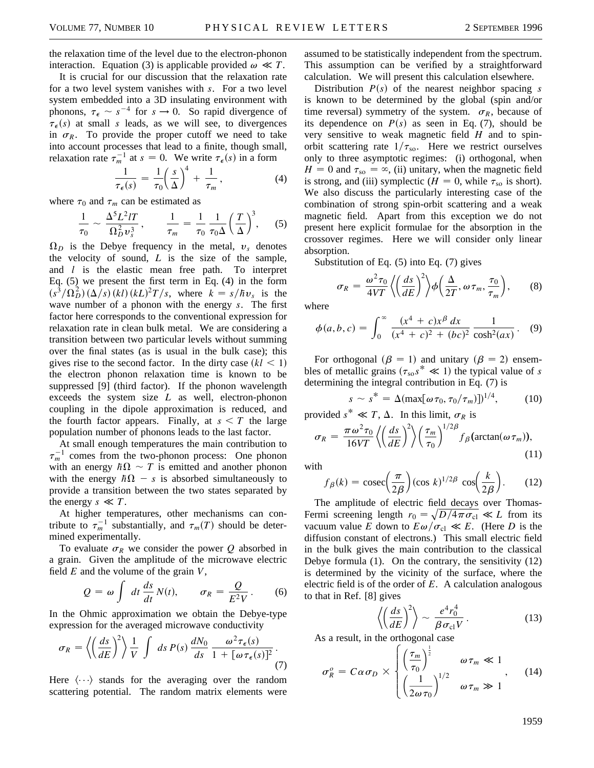the relaxation time of the level due to the electron-phonon interaction. Equation (3) is applicable provided  $\omega \ll T$ .

It is crucial for our discussion that the relaxation rate for a two level system vanishes with *s*. For a two level system embedded into a 3D insulating environment with phonons,  $\tau_{\epsilon} \sim s^{-4}$  for  $s \to 0$ . So rapid divergence of  $\tau_{\epsilon}(s)$  at small *s* leads, as we will see, to divergences in  $\sigma_R$ . To provide the proper cutoff we need to take into account processes that lead to a finite, though small, relaxation rate  $\tau_m^{-1}$  at  $s = 0$ . We write  $\tau_{\epsilon}(s)$  in a form

$$
\frac{1}{\tau_{\epsilon}(s)} = \frac{1}{\tau_0} \left(\frac{s}{\Delta}\right)^4 + \frac{1}{\tau_m},\tag{4}
$$

where  $\tau_0$  and  $\tau_m$  can be estimated as

$$
\frac{1}{\tau_0} \sim \frac{\Delta^5 L^2 l T}{\Omega_D^2 v_s^3}, \qquad \frac{1}{\tau_m} = \frac{1}{\tau_0} \frac{1}{\tau_0 \Delta} \left(\frac{T}{\Delta}\right)^3, \qquad (5)
$$

 $\Omega_D$  is the Debye frequency in the metal,  $v_s$  denotes the velocity of sound, *L* is the size of the sample, and *l* is the elastic mean free path. To interpret Eq. (5) we present the first term in Eq. (4) in the form  $\left(s^3/\Omega_D^2\right)\left(\frac{\Delta}{s}\right)\left(kl\right)\left(kL\right)^2T/s$ , where  $k = s/\hbar v_s$  is the wave number of a phonon with the energy *s*. The first factor here corresponds to the conventional expression for relaxation rate in clean bulk metal. We are considering a transition between two particular levels without summing over the final states (as is usual in the bulk case); this gives rise to the second factor. In the dirty case  $(kl \leq 1)$ the electron phonon relaxation time is known to be suppressed [9] (third factor). If the phonon wavelength exceeds the system size *L* as well, electron-phonon coupling in the dipole approximation is reduced, and the fourth factor appears. Finally, at  $s < T$  the large population number of phonons leads to the last factor.

At small enough temperatures the main contribution to  $\tau_m^{-1}$  comes from the two-phonon process: One phonon with an energy  $\hbar\Omega \sim T$  is emitted and another phonon with the energy  $\hbar\Omega$  – *s* is absorbed simultaneously to provide a transition between the two states separated by the energy  $s \ll T$ .

At higher temperatures, other mechanisms can contribute to  $\tau_m^{-1}$  substantially, and  $\tau_m(T)$  should be determined experimentally.

To evaluate  $\sigma_R$  we consider the power *Q* absorbed in a grain. Given the amplitude of the microwave electric field *E* and the volume of the grain *V*,

$$
Q = \omega \int dt \frac{ds}{dt} N(t), \qquad \sigma_R = \frac{Q}{E^2 V}.
$$
 (6)

In the Ohmic approximation we obtain the Debye-type expression for the averaged microwave conductivity

$$
\sigma_R = \left\langle \left(\frac{ds}{dE}\right)^2 \right\rangle \frac{1}{V} \int ds \, P(s) \, \frac{dN_0}{ds} \, \frac{\omega^2 \tau_{\epsilon}(s)}{1 + [\omega \tau_{\epsilon}(s)]^2} \, . \tag{7}
$$

Here  $\langle \cdots \rangle$  stands for the averaging over the random scattering potential. The random matrix elements were

assumed to be statistically independent from the spectrum. This assumption can be verified by a straightforward calculation. We will present this calculation elsewhere.

Distribution  $P(s)$  of the nearest neighbor spacing *s* is known to be determined by the global (spin and/or time reversal) symmetry of the system.  $\sigma_R$ , because of its dependence on  $P(s)$  as seen in Eq. (7), should be very sensitive to weak magnetic field *H* and to spinorbit scattering rate  $1/\tau_{\rm so}$ . Here we restrict ourselves only to three asymptotic regimes: (i) orthogonal, when  $H = 0$  and  $\tau_{so} = \infty$ , (ii) unitary, when the magnetic field is strong, and (iii) symplectic ( $H = 0$ , while  $\tau_{so}$  is short). We also discuss the particularly interesting case of the combination of strong spin-orbit scattering and a weak magnetic field. Apart from this exception we do not present here explicit formulae for the absorption in the crossover regimes. Here we will consider only linear absorption.

Substitution of Eq. (5) into Eq. (7) gives

$$
\sigma_R = \frac{\omega^2 \tau_0}{4VT} \left\langle \left(\frac{ds}{dE}\right)^2 \right\rangle \phi \left(\frac{\Delta}{2T}, \omega \tau_m, \frac{\tau_0}{\tau_m} \right), \qquad (8)
$$

where

$$
\phi(a,b,c) = \int_0^\infty \frac{(x^4 + c)x^{\beta} dx}{(x^4 + c)^2 + (bc)^2} \frac{1}{\cosh^2(ax)}.
$$
 (9)

For orthogonal ( $\beta = 1$ ) and unitary ( $\beta = 2$ ) ensembles of metallic grains ( $\tau_{so} s^* \ll 1$ ) the typical value of *s* determining the integral contribution in Eq. (7) is

$$
s \sim s^* = \Delta(\max[\omega \tau_0, \tau_0/\tau_m)])^{1/4}, \tag{10}
$$

provided  $s^* \ll T$ ,  $\Delta$ . In this limit,  $\sigma_R$  is

$$
\sigma_R = \frac{\pi \omega^2 \tau_0}{16VT} \left\langle \left(\frac{ds}{dE}\right)^2 \right\rangle \left(\frac{\tau_m}{\tau_0}\right)^{1/2\beta} f_\beta(\arctan(\omega \tau_m)),\tag{11}
$$

with

$$
f_{\beta}(k) = \csc\left(\frac{\pi}{2\beta}\right)(\cos k)^{1/2\beta} \cos\left(\frac{k}{2\beta}\right). \tag{12}
$$

The amplitude of electric field decays over Thomas-Fermi screening length  $r_0 = \sqrt{D/4\pi\sigma_{\text{cl}}} \ll L$  from its vacuum value *E* down to  $E\omega/\sigma_{\rm cl} \ll E$ . (Here *D* is the diffusion constant of electrons.) This small electric field in the bulk gives the main contribution to the classical Debye formula (1). On the contrary, the sensitivity (12) is determined by the vicinity of the surface, where the electric field is of the order of *E*. A calculation analogous to that in Ref. [8] gives

$$
\left\langle \left(\frac{ds}{dE}\right)^2 \right\rangle \sim \frac{e^4 r_0^4}{\beta \sigma_{\rm cl} V}.
$$
 (13)

As a result, in the orthogonal case וי<br>ז

$$
\sigma_R^o = C \alpha \sigma_D \times \begin{cases} \left(\frac{\tau_m}{\tau_0}\right)^{\frac{1}{2}} & \omega \tau_m \ll 1\\ \left(\frac{1}{2\omega \tau_0}\right)^{1/2} & \omega \tau_m \gg 1 \end{cases}
$$
 (14)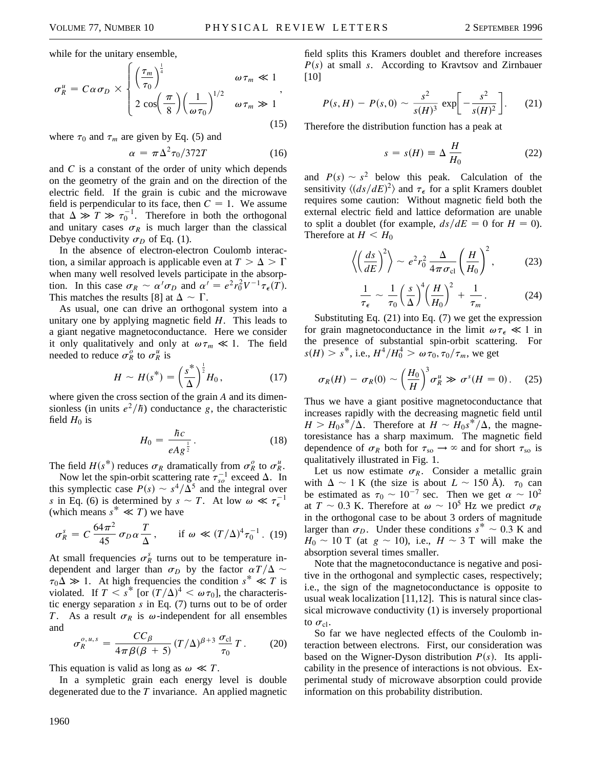while for the unitary ensemble,

$$
\sigma_R^u = C \alpha \sigma_D \times \begin{cases} \left(\frac{\tau_m}{\tau_0}\right)^{\frac{1}{4}} & \omega \tau_m \ll 1\\ 2 \cos\left(\frac{\pi}{8}\right) \left(\frac{1}{\omega \tau_0}\right)^{1/2} & \omega \tau_m \gg 1 \end{cases},\tag{15}
$$

where  $\tau_0$  and  $\tau_m$  are given by Eq. (5) and

$$
\alpha = \pi \Delta^2 \tau_0 / 372T \tag{16}
$$

and *C* is a constant of the order of unity which depends on the geometry of the grain and on the direction of the electric field. If the grain is cubic and the microwave field is perpendicular to its face, then  $C = 1$ . We assume that  $\Delta \gg T \gg \tau_0^{-1}$ . Therefore in both the orthogonal and unitary cases  $\sigma_R$  is much larger than the classical Debye conductivity  $\sigma_D$  of Eq. (1).

In the absence of electron-electron Coulomb interaction, a similar approach is applicable even at  $T > \Delta > \Gamma$ when many well resolved levels participate in the absorption. In this case  $\sigma_R \sim \alpha' \sigma_D$  and  $\alpha' = e^2 r_0^2 V^{-1} \tau_{\epsilon}(T)$ . This matches the results [8] at  $\Delta \sim \Gamma$ .

As usual, one can drive an orthogonal system into a unitary one by applying magnetic field *H*. This leads to a giant negative magnetoconductance. Here we consider it only qualitatively and only at  $\omega \tau_m \ll 1$ . The field needed to reduce  $\sigma_R^o$  to  $\sigma_R^u$  is

$$
H \sim H(s^*) = \left(\frac{s^*}{\Delta}\right)^{\frac{1}{2}} H_0, \qquad (17)
$$

where given the cross section of the grain *A* and its dimensionless (in units  $e^2/\hbar$ ) conductance *g*, the characteristic field  $H_0$  is

$$
H_0 = \frac{\hbar c}{eAg^{\frac{1}{2}}}.
$$
 (18)

The field  $H(s^*)$  reduces  $\sigma_R$  dramatically from  $\sigma_R^o$  to  $\sigma_R^u$ .

Now let the spin-orbit scattering rate  $\tau_{so}^{-1}$  exceed  $\Delta$ . In this symplectic case  $P(s) \sim s^4/\Delta^5$  and the integral over *s* in Eq. (6) is determined by  $s \sim T$ . At low  $\omega \ll \tau_{\epsilon}^{-1}$ (which means  $s^* \ll T$ ) we have

$$
\sigma_R^s = C \frac{64\pi^2}{45} \sigma_D \alpha \frac{T}{\Delta}, \quad \text{if } \omega \ll (T/\Delta)^4 \tau_0^{-1}. \tag{19}
$$

At small frequencies  $\sigma_R^s$  turns out to be temperature independent and larger than  $\sigma_D$  by the factor  $\alpha T/\Delta \sim$  $\tau_0 \Delta \gg 1$ . At high frequencies the condition  $s^* \ll T$  is violated. If  $T \leq s^*$  [or  $(T/\Delta)^4 \leq \omega \tau_0$ ], the characteristic energy separation *s* in Eq. (7) turns out to be of order *T*. As a result  $\sigma_R$  is  $\omega$ -independent for all ensembles and

$$
\sigma_R^{\rho, u, s} = \frac{CC_\beta}{4\pi\beta(\beta+5)} (T/\Delta)^{\beta+3} \frac{\sigma_{\rm cl}}{\tau_0} T. \tag{20}
$$

This equation is valid as long as  $\omega \ll T$ .

In a sympletic grain each energy level is double degenerated due to the *T* invariance. An applied magnetic

field splits this Kramers doublet and therefore increases  $P(s)$  at small *s*. According to Kravtsov and Zirnbauer [10]

$$
P(s, H) - P(s, 0) \sim \frac{s^2}{s(H)^3} \exp\left[-\frac{s^2}{s(H)^2}\right].
$$
 (21)

Therefore the distribution function has a peak at

$$
s = s(H) \equiv \Delta \frac{H}{H_0} \tag{22}
$$

and  $P(s) \sim s^2$  below this peak. Calculation of the sensitivity  $\langle (ds/dE)^2 \rangle$  and  $\tau_{\epsilon}$  for a split Kramers doublet requires some caution: Without magnetic field both the external electric field and lattice deformation are unable to split a doublet (for example,  $ds/dE = 0$  for  $H = 0$ ). Therefore at  $H < H_0$ 

$$
\left\langle \left(\frac{ds}{dE}\right)^2 \right\rangle \sim e^2 r_0^2 \frac{\Delta}{4\pi \sigma_{\rm cl}} \left(\frac{H}{H_0}\right)^2, \tag{23}
$$

$$
\frac{1}{\tau_{\epsilon}} \sim \frac{1}{\tau_0} \left(\frac{s}{\Delta}\right)^4 \left(\frac{H}{H_0}\right)^2 + \frac{1}{\tau_m}.
$$
 (24)

Substituting Eq. (21) into Eq. (7) we get the expression for grain magnetoconductance in the limit  $\omega \tau_{\epsilon} \ll 1$  in the presence of substantial spin-orbit scattering. For  $s(H) > s^*$ , i.e.,  $H^4/H_0^4 > \omega \tau_0, \tau_0/\tau_m$ , we get

$$
\sigma_R(H) - \sigma_R(0) \sim \left(\frac{H_0}{H}\right)^3 \sigma_R^u \gg \sigma^s(H = 0). \quad (25)
$$

Thus we have a giant positive magnetoconductance that increases rapidly with the decreasing magnetic field until  $H > H_0 s^* / \Delta$ . Therefore at  $H \sim H_0 s^* / \Delta$ , the magnetoresistance has a sharp maximum. The magnetic field dependence of  $\sigma_R$  both for  $\tau_{so} \rightarrow \infty$  and for short  $\tau_{so}$  is qualitatively illustrated in Fig. 1.

Let us now estimate  $\sigma_R$ . Consider a metallic grain with  $\Delta \sim 1$  K (the size is about  $L \sim 150$  Å).  $\tau_0$  can be estimated as  $\tau_0 \sim 10^{-7}$  sec. Then we get  $\alpha \sim 10^2$ at  $T \sim 0.3$  K. Therefore at  $\omega \sim 10^5$  Hz we predict  $\sigma_R$ in the orthogonal case to be about 3 orders of magnitude larger than  $\sigma_D$ . Under these conditions  $s^* \sim 0.3$  K and  $H_0 \sim 10$  T (at  $g \sim 10$ ), i.e.,  $H \sim 3$  T will make the absorption several times smaller.

Note that the magnetoconductance is negative and positive in the orthogonal and symplectic cases, respectively; i.e., the sign of the magnetoconductance is opposite to usual weak localization [11,12]. This is natural since classical microwave conductivity (1) is inversely proportional to  $\sigma_{\rm cl}$ .

So far we have neglected effects of the Coulomb interaction between electrons. First, our consideration was based on the Wigner-Dyson distribution  $P(s)$ . Its applicability in the presence of interactions is not obvious. Experimental study of microwave absorption could provide information on this probability distribution.